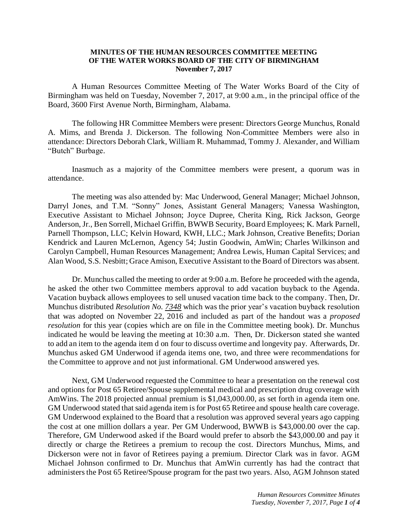## **MINUTES OF THE HUMAN RESOURCES COMMITTEE MEETING OF THE WATER WORKS BOARD OF THE CITY OF BIRMINGHAM November 7, 2017**

A Human Resources Committee Meeting of The Water Works Board of the City of Birmingham was held on Tuesday, November 7, 2017, at 9:00 a.m., in the principal office of the Board, 3600 First Avenue North, Birmingham, Alabama.

The following HR Committee Members were present: Directors George Munchus, Ronald A. Mims, and Brenda J. Dickerson. The following Non-Committee Members were also in attendance: Directors Deborah Clark, William R. Muhammad, Tommy J. Alexander, and William "Butch" Burbage.

Inasmuch as a majority of the Committee members were present, a quorum was in attendance.

The meeting was also attended by: Mac Underwood, General Manager; Michael Johnson, Darryl Jones, and T.M. "Sonny" Jones, Assistant General Managers; Vanessa Washington, Executive Assistant to Michael Johnson; Joyce Dupree, Cherita King, Rick Jackson, George Anderson, Jr., Ben Sorrell, Michael Griffin, BWWB Security, Board Employees; K. Mark Parnell, Parnell Thompson, LLC; Kelvin Howard, KWH, LLC.; Mark Johnson, Creative Benefits; Dorian Kendrick and Lauren McLernon, Agency 54; Justin Goodwin, AmWin; Charles Wilkinson and Carolyn Campbell, Human Resources Management; Andrea Lewis, Human Capital Services; and Alan Wood, S.S. Nesbitt; Grace Amison, Executive Assistant to the Board of Directors was absent.

Dr. Munchus called the meeting to order at 9:00 a.m. Before he proceeded with the agenda, he asked the other two Committee members approval to add vacation buyback to the Agenda. Vacation buyback allows employees to sell unused vacation time back to the company. Then, Dr. Munchus distributed *Resolution No. 7348* which was the prior year's vacation buyback resolution that was adopted on November 22, 2016 and included as part of the handout was a *proposed resolution* for this year (copies which are on file in the Committee meeting book). Dr. Munchus indicated he would be leaving the meeting at 10:30 a.m. Then, Dr. Dickerson stated she wanted to add an item to the agenda item d on four to discuss overtime and longevity pay. Afterwards, Dr. Munchus asked GM Underwood if agenda items one, two, and three were recommendations for the Committee to approve and not just informational. GM Underwood answered yes.

Next, GM Underwood requested the Committee to hear a presentation on the renewal cost and options for Post 65 Retiree/Spouse supplemental medical and prescription drug coverage with AmWins. The 2018 projected annual premium is \$1,043,000.00, as set forth in agenda item one. GM Underwood stated that said agenda item is for Post 65 Retiree and spouse health care coverage. GM Underwood explained to the Board that a resolution was approved several years ago capping the cost at one million dollars a year. Per GM Underwood, BWWB is \$43,000.00 over the cap. Therefore, GM Underwood asked if the Board would prefer to absorb the \$43,000.00 and pay it directly or charge the Retirees a premium to recoup the cost. Directors Munchus, Mims, and Dickerson were not in favor of Retirees paying a premium. Director Clark was in favor. AGM Michael Johnson confirmed to Dr. Munchus that AmWin currently has had the contract that administers the Post 65 Retiree/Spouse program for the past two years. Also, AGM Johnson stated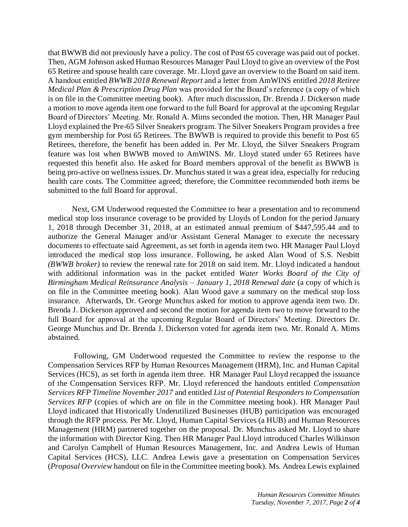that BWWB did not previously have a policy. The cost of Post 65 coverage was paid out of pocket. Then, AGM Johnson asked Human Resources Manager Paul Lloyd to give an overview of the Post 65 Retiree and spouse health care coverage. Mr. Lloyd gave an overview to the Board on said item. A handout entitled *BWWB 2018 Renewal Report* and a letter from AmWINS entitled *2018 Retiree Medical Plan & Prescription Drug Plan* was provided for the Board's reference (a copy of which is on file in the Committee meeting book). After much discussion, Dr. Brenda J. Dickerson made a motion to move agenda item one forward to the full Board for approval at the upcoming Regular Board of Directors' Meeting. Mr. Ronald A. Mims seconded the motion. Then, HR Manager Paul Lloyd explained the Pre-65 Silver Sneakers program. The Silver Sneakers Program provides a free gym membership for Post 65 Retirees. The BWWB is required to provide this benefit to Post 65 Retirees, therefore, the benefit has been added in. Per Mr. Lloyd, the Silver Sneakers Program feature was lost when BWWB moved to AmWINS. Mr. Lloyd stated under 65 Retirees have requested this benefit also. He asked for Board members approval of the benefit as BWWB is being pro-active on wellness issues. Dr. Munchus stated it was a great idea, especially for reducing health care costs. The Committee agreed; therefore, the Committee recommended both items be submitted to the full Board for approval.

Next, GM Underwood requested the Committee to hear a presentation and to recommend medical stop loss insurance coverage to be provided by Lloyds of London for the period January 1, 2018 through December 31, 2018, at an estimated annual premium of \$447,595.44 and to authorize the General Manager and/or Assistant General Manager to execute the necessary documents to effectuate said Agreement, as set forth in agenda item two. HR Manager Paul Lloyd introduced the medical stop loss insurance. Following, he asked Alan Wood of S.S. Nesbitt *(BWWB broker)* to review the renewal rate for 2018 on said item. Mr. Lloyd indicated a handout with additional information was in the packet entitled *Water Works Board of the City of Birmingham Medical Reinsurance Analysis – January 1, 2018 Renewal date* (a copy of which is on file in the Committee meeting book). Alan Wood gave a summary on the medical stop loss insurance. Afterwards, Dr. George Munchus asked for motion to approve agenda item two. Dr. Brenda J. Dickerson approved and second the motion for agenda item two to move forward to the full Board for approval at the upcoming Regular Board of Directors' Meeting. Directors Dr. George Munchus and Dr. Brenda J. Dickerson voted for agenda item two. Mr. Ronald A. Mims abstained.

Following, GM Underwood requested the Committee to review the response to the Compensation Services RFP by Human Resources Management (HRM), Inc. and Human Capital Services (HCS), as set forth in agenda item three. HR Manager Paul Lloyd recapped the issuance of the Compensation Services RFP. Mr. Lloyd referenced the handouts entitled *Compensation Services RFP Timeline November 2017* and entitled *List of Potential Responders to Compensation Services RFP* (copies of which are on file in the Committee meeting book). HR Manager Paul Lloyd indicated that Historically Underutilized Businesses (HUB) participation was encouraged through the RFP process. Per Mr. Lloyd, Human Capital Services (a HUB) and Human Resources Management (HRM) partnered together on the proposal. Dr. Munchus asked Mr. Lloyd to share the information with Director King. Then HR Manager Paul Lloyd introduced Charles Wilkinson and Carolyn Campbell of Human Resources Management, Inc. and Andrea Lewis of Human Capital Services (HCS), LLC. Andrea Lewis gave a presentation on Compensation Services (*Proposal Overview* handout on file in the Committee meeting book). Ms. Andrea Lewis explained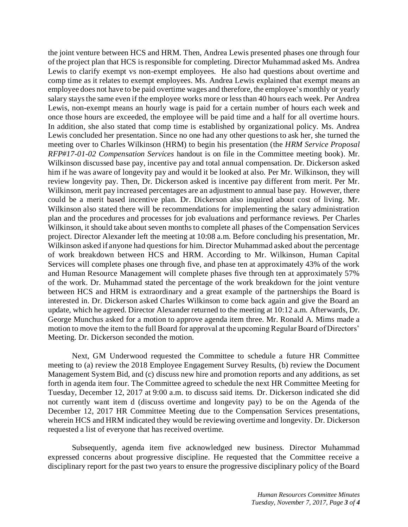the joint venture between HCS and HRM. Then, Andrea Lewis presented phases one through four of the project plan that HCS is responsible for completing. Director Muhammad asked Ms. Andrea Lewis to clarify exempt vs non-exempt employees. He also had questions about overtime and comp time as it relates to exempt employees. Ms. Andrea Lewis explained that exempt means an employee does not have to be paid overtime wages and therefore, the employee's monthly or yearly salary stays the same even if the employee works more or less than 40 hours each week. Per Andrea Lewis, non-exempt means an hourly wage is paid for a certain number of hours each week and once those hours are exceeded, the employee will be paid time and a half for all overtime hours. In addition, she also stated that comp time is established by organizational policy. Ms. Andrea Lewis concluded her presentation. Since no one had any other questions to ask her, she turned the meeting over to Charles Wilkinson (HRM) to begin his presentation (the *HRM Service Proposal RFP#17-01-02 Compensation Services* handout is on file in the Committee meeting book). Mr. Wilkinson discussed base pay, incentive pay and total annual compensation. Dr. Dickerson asked him if he was aware of longevity pay and would it be looked at also. Per Mr. Wilkinson, they will review longevity pay. Then, Dr. Dickerson asked is incentive pay different from merit. Per Mr. Wilkinson, merit pay increased percentages are an adjustment to annual base pay. However, there could be a merit based incentive plan. Dr. Dickerson also inquired about cost of living. Mr. Wilkinson also stated there will be recommendations for implementing the salary administration plan and the procedures and processes for job evaluations and performance reviews. Per Charles Wilkinson, it should take about seven months to complete all phases of the Compensation Services project. Director Alexander left the meeting at 10:08 a.m. Before concluding his presentation, Mr. Wilkinson asked if anyone had questions for him. Director Muhammad asked about the percentage of work breakdown between HCS and HRM. According to Mr. Wilkinson, Human Capital Services will complete phases one through five, and phase ten at approximately 43% of the work and Human Resource Management will complete phases five through ten at approximately 57% of the work. Dr. Muhammad stated the percentage of the work breakdown for the joint venture between HCS and HRM is extraordinary and a great example of the partnerships the Board is interested in. Dr. Dickerson asked Charles Wilkinson to come back again and give the Board an update, which he agreed. Director Alexander returned to the meeting at 10:12 a.m. Afterwards, Dr. George Munchus asked for a motion to approve agenda item three. Mr. Ronald A. Mims made a motion to move the item to the full Board for approval at the upcoming Regular Board of Directors' Meeting. Dr. Dickerson seconded the motion.

Next, GM Underwood requested the Committee to schedule a future HR Committee meeting to (a) review the 2018 Employee Engagement Survey Results, (b) review the Document Management System Bid, and (c) discuss new hire and promotion reports and any additions, as set forth in agenda item four. The Committee agreed to schedule the next HR Committee Meeting for Tuesday, December 12, 2017 at 9:00 a.m. to discuss said items. Dr. Dickerson indicated she did not currently want item d (discuss overtime and longevity pay) to be on the Agenda of the December 12, 2017 HR Committee Meeting due to the Compensation Services presentations, wherein HCS and HRM indicated they would be reviewing overtime and longevity. Dr. Dickerson requested a list of everyone that has received overtime.

Subsequently, agenda item five acknowledged new business. Director Muhammad expressed concerns about progressive discipline. He requested that the Committee receive a disciplinary report for the past two years to ensure the progressive disciplinary policy of the Board